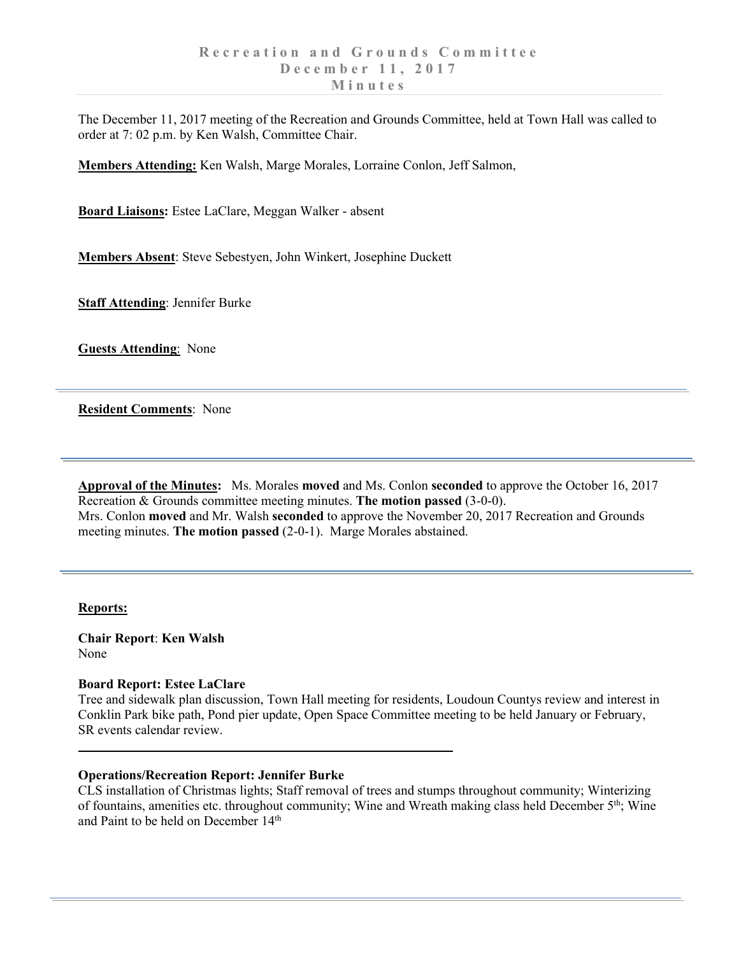The December 11, 2017 meeting of the Recreation and Grounds Committee, held at Town Hall was called to order at 7: 02 p.m. by Ken Walsh, Committee Chair.

**Members Attending:** Ken Walsh, Marge Morales, Lorraine Conlon, Jeff Salmon,

**Board Liaisons:** Estee LaClare, Meggan Walker - absent

**Members Absent**: Steve Sebestyen, John Winkert, Josephine Duckett

**Staff Attending**: Jennifer Burke

**Guests Attending**: None

**Resident Comments**: None

**Approval of the Minutes:** Ms. Morales **moved** and Ms. Conlon **seconded** to approve the October 16, 2017 Recreation & Grounds committee meeting minutes. **The motion passed** (3-0-0). Mrs. Conlon **moved** and Mr. Walsh **seconded** to approve the November 20, 2017 Recreation and Grounds meeting minutes. **The motion passed** (2-0-1). Marge Morales abstained.

# **Reports:**

**Chair Report**: **Ken Walsh** None

# **Board Report: Estee LaClare**

Tree and sidewalk plan discussion, Town Hall meeting for residents, Loudoun Countys review and interest in Conklin Park bike path, Pond pier update, Open Space Committee meeting to be held January or February, SR events calendar review.

# **Operations/Recreation Report: Jennifer Burke**

CLS installation of Christmas lights; Staff removal of trees and stumps throughout community; Winterizing of fountains, amenities etc. throughout community; Wine and Wreath making class held December  $5<sup>th</sup>$ ; Wine and Paint to be held on December 14<sup>th</sup>